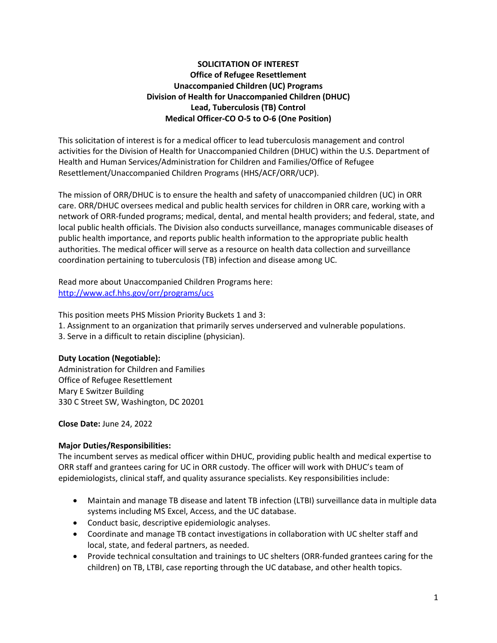# **SOLICITATION OF INTEREST Office of Refugee Resettlement Unaccompanied Children (UC) Programs Division of Health for Unaccompanied Children (DHUC) Lead, Tuberculosis (TB) Control Medical Officer-CO O-5 to O-6 (One Position)**

This solicitation of interest is for a medical officer to lead tuberculosis management and control activities for the Division of Health for Unaccompanied Children (DHUC) within the U.S. Department of Health and Human Services/Administration for Children and Families/Office of Refugee Resettlement/Unaccompanied Children Programs (HHS/ACF/ORR/UCP).

The mission of ORR/DHUC is to ensure the health and safety of unaccompanied children (UC) in ORR care. ORR/DHUC oversees medical and public health services for children in ORR care, working with a network of ORR-funded programs; medical, dental, and mental health providers; and federal, state, and local public health officials. The Division also conducts surveillance, manages communicable diseases of public health importance, and reports public health information to the appropriate public health authorities. The medical officer will serve as a resource on health data collection and surveillance coordination pertaining to tuberculosis (TB) infection and disease among UC.

Read more about Unaccompanied Children Programs here: <http://www.acf.hhs.gov/orr/programs/ucs>

This position meets PHS Mission Priority Buckets 1 and 3:

- 1. Assignment to an organization that primarily serves underserved and vulnerable populations.
- 3. Serve in a difficult to retain discipline (physician).

## **Duty Location (Negotiable):**

Administration for Children and Families Office of Refugee Resettlement Mary E Switzer Building 330 C Street SW, Washington, DC 20201

**Close Date:** June 24, 2022

## **Major Duties/Responsibilities:**

The incumbent serves as medical officer within DHUC, providing public health and medical expertise to ORR staff and grantees caring for UC in ORR custody. The officer will work with DHUC's team of epidemiologists, clinical staff, and quality assurance specialists. Key responsibilities include:

- Maintain and manage TB disease and latent TB infection (LTBI) surveillance data in multiple data systems including MS Excel, Access, and the UC database.
- Conduct basic, descriptive epidemiologic analyses.
- Coordinate and manage TB contact investigations in collaboration with UC shelter staff and local, state, and federal partners, as needed.
- Provide technical consultation and trainings to UC shelters (ORR-funded grantees caring for the children) on TB, LTBI, case reporting through the UC database, and other health topics.